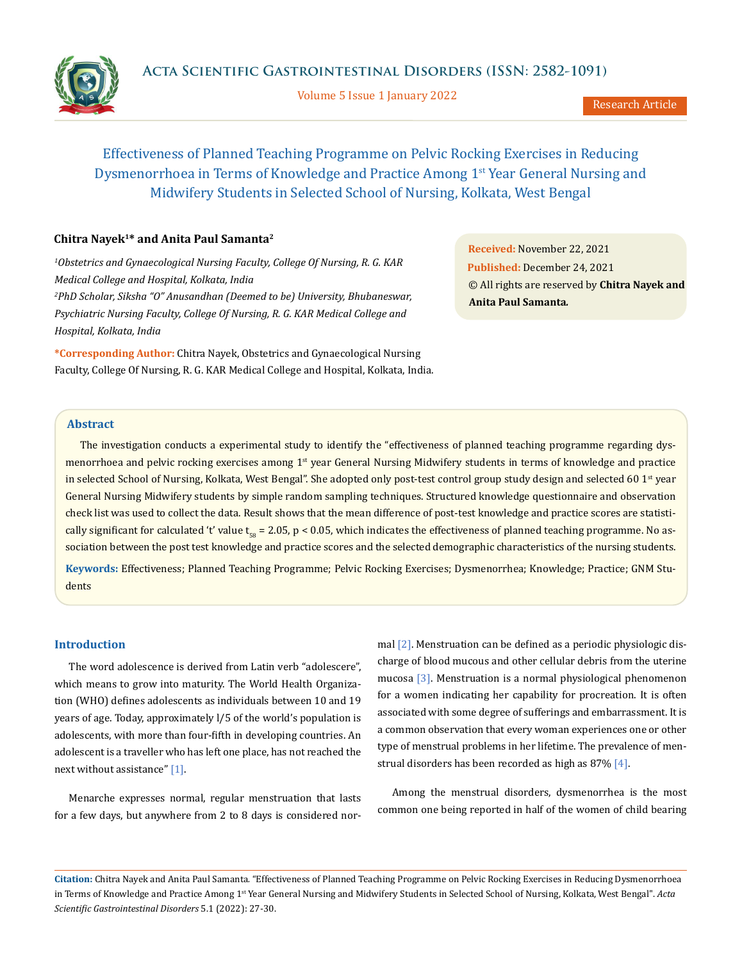Volume 5 Issue 1 January 2022

Research Article

# Effectiveness of Planned Teaching Programme on Pelvic Rocking Exercises in Reducing Dysmenorrhoea in Terms of Knowledge and Practice Among 1st Year General Nursing and

Midwifery Students in Selected School of Nursing, Kolkata, West Bengal

# **Chitra Nayek1\* and Anita Paul Samanta2**

*1 Obstetrics and Gynaecological Nursing Faculty, College Of Nursing, R. G. KAR Medical College and Hospital, Kolkata, India 2 PhD Scholar, Siksha "O" Anusandhan (Deemed to be) University, Bhubaneswar, Psychiatric Nursing Faculty, College Of Nursing, R. G. KAR Medical College and Hospital, Kolkata, India*

**\*Corresponding Author:** Chitra Nayek, Obstetrics and Gynaecological Nursing Faculty, College Of Nursing, R. G. KAR Medical College and Hospital, Kolkata, India. **Received:** November 22, 2021 **Published:** December 24, 2021 © All rights are reserved by **Chitra Nayek and Anita Paul Samanta***.*

# **Abstract**

The investigation conducts a experimental study to identify the "effectiveness of planned teaching programme regarding dysmenorrhoea and pelvic rocking exercises among 1<sup>st</sup> year General Nursing Midwifery students in terms of knowledge and practice in selected School of Nursing, Kolkata, West Bengal". She adopted only post-test control group study design and selected 60 1st year General Nursing Midwifery students by simple random sampling techniques. Structured knowledge questionnaire and observation check list was used to collect the data. Result shows that the mean difference of post-test knowledge and practice scores are statistically significant for calculated 't' value  $t_{ss} = 2.05$ ,  $p < 0.05$ , which indicates the effectiveness of planned teaching programme. No association between the post test knowledge and practice scores and the selected demographic characteristics of the nursing students.

**Keywords:** Effectiveness; Planned Teaching Programme; Pelvic Rocking Exercises; Dysmenorrhea; Knowledge; Practice; GNM Students

## **Introduction**

The word adolescence is derived from Latin verb "adolescere", which means to grow into maturity. The World Health Organization (WHO) defines adolescents as individuals between 10 and 19 years of age. Today, approximately l/5 of the world's population is adolescents, with more than four-fifth in developing countries. An adolescent is a traveller who has left one place, has not reached the next without assistance" [1].

Menarche expresses normal, regular menstruation that lasts for a few days, but anywhere from 2 to 8 days is considered normal [2]. Menstruation can be defined as a periodic physiologic discharge of blood mucous and other cellular debris from the uterine mucosa [3]. Menstruation is a normal physiological phenomenon for a women indicating her capability for procreation. It is often associated with some degree of sufferings and embarrassment. It is a common observation that every woman experiences one or other type of menstrual problems in her lifetime. The prevalence of menstrual disorders has been recorded as high as  $87\%$  [4].

Among the menstrual disorders, dysmenorrhea is the most common one being reported in half of the women of child bearing

**Citation:** Chitra Nayek and Anita Paul Samanta*.* "Effectiveness of Planned Teaching Programme on Pelvic Rocking Exercises in Reducing Dysmenorrhoea in Terms of Knowledge and Practice Among 1<sup>st</sup> Year General Nursing and Midwifery Students in Selected School of Nursing, Kolkata, West Bengal". Acta *Scientific Gastrointestinal Disorders* 5.1 (2022): 27-30.

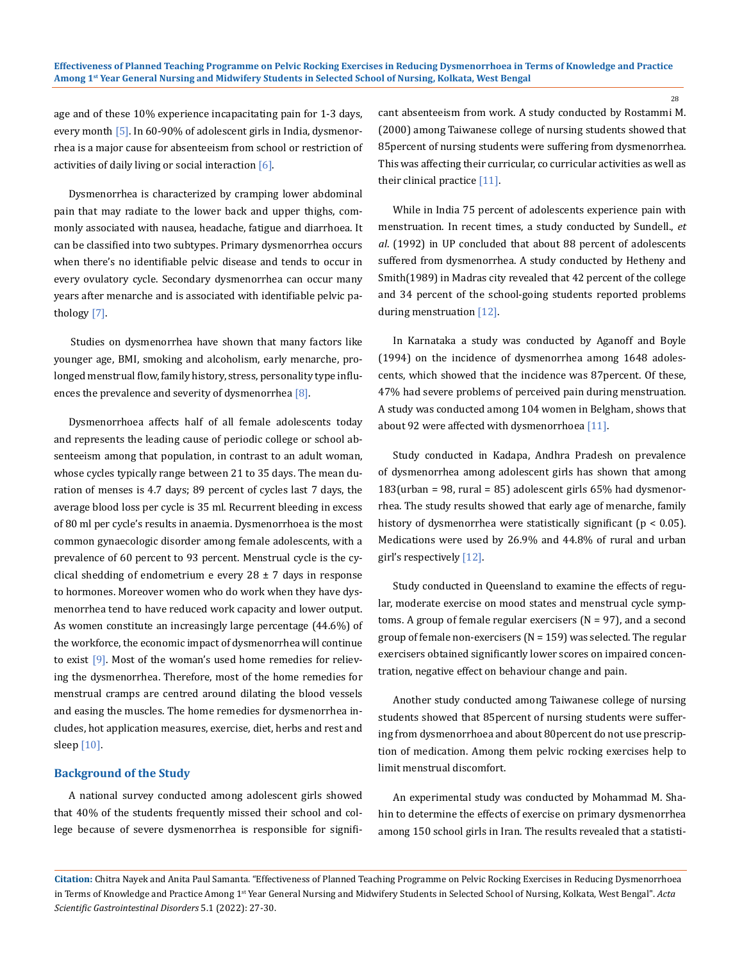age and of these 10% experience incapacitating pain for 1-3 days, every month [5]. In 60-90% of adolescent girls in India, dysmenorrhea is a major cause for absenteeism from school or restriction of activities of daily living or social interaction [6].

Dysmenorrhea is characterized by cramping lower abdominal pain that may radiate to the lower back and upper thighs, commonly associated with nausea, headache, fatigue and diarrhoea. It can be classified into two subtypes. Primary dysmenorrhea occurs when there's no identifiable pelvic disease and tends to occur in every ovulatory cycle. Secondary dysmenorrhea can occur many years after menarche and is associated with identifiable pelvic pathology [7].

Studies on dysmenorrhea have shown that many factors like younger age, BMI, smoking and alcoholism, early menarche, prolonged menstrual flow, family history, stress, personality type influences the prevalence and severity of dysmenorrhea [8].

Dysmenorrhoea affects half of all female adolescents today and represents the leading cause of periodic college or school absenteeism among that population, in contrast to an adult woman, whose cycles typically range between 21 to 35 days. The mean duration of menses is 4.7 days; 89 percent of cycles last 7 days, the average blood loss per cycle is 35 ml. Recurrent bleeding in excess of 80 ml per cycle's results in anaemia. Dysmenorrhoea is the most common gynaecologic disorder among female adolescents, with a prevalence of 60 percent to 93 percent. Menstrual cycle is the cyclical shedding of endometrium e every  $28 \pm 7$  days in response to hormones. Moreover women who do work when they have dysmenorrhea tend to have reduced work capacity and lower output. As women constitute an increasingly large percentage (44.6%) of the workforce, the economic impact of dysmenorrhea will continue to exist  $[9]$ . Most of the woman's used home remedies for relieving the dysmenorrhea. Therefore, most of the home remedies for menstrual cramps are centred around dilating the blood vessels and easing the muscles. The home remedies for dysmenorrhea includes, hot application measures, exercise, diet, herbs and rest and sleep  $[10]$ .

## **Background of the Study**

A national survey conducted among adolescent girls showed that 40% of the students frequently missed their school and college because of severe dysmenorrhea is responsible for significant absenteeism from work. A study conducted by Rostammi M. (2000) among Taiwanese college of nursing students showed that 85percent of nursing students were suffering from dysmenorrhea. This was affecting their curricular, co curricular activities as well as their clinical practice [11].

While in India 75 percent of adolescents experience pain with menstruation. In recent times, a study conducted by Sundell., *et al*. (1992) in UP concluded that about 88 percent of adolescents suffered from dysmenorrhea. A study conducted by Hetheny and Smith(1989) in Madras city revealed that 42 percent of the college and 34 percent of the school-going students reported problems during menstruation [12].

In Karnataka a study was conducted by Aganoff and Boyle (1994) on the incidence of dysmenorrhea among 1648 adolescents, which showed that the incidence was 87percent. Of these, 47% had severe problems of perceived pain during menstruation. A study was conducted among 104 women in Belgham, shows that about 92 were affected with dysmenorrhoea [11].

Study conducted in Kadapa, Andhra Pradesh on prevalence of dysmenorrhea among adolescent girls has shown that among  $183$ (urban = 98, rural = 85) adolescent girls 65% had dysmenorrhea. The study results showed that early age of menarche, family history of dysmenorrhea were statistically significant ( $p < 0.05$ ). Medications were used by 26.9% and 44.8% of rural and urban girl's respectively [12].

Study conducted in Queensland to examine the effects of regular, moderate exercise on mood states and menstrual cycle symptoms. A group of female regular exercisers  $(N = 97)$ , and a second group of female non-exercisers  $(N = 159)$  was selected. The regular exercisers obtained significantly lower scores on impaired concentration, negative effect on behaviour change and pain.

Another study conducted among Taiwanese college of nursing students showed that 85percent of nursing students were suffering from dysmenorrhoea and about 80percent do not use prescription of medication. Among them pelvic rocking exercises help to limit menstrual discomfort.

An experimental study was conducted by Mohammad M. Shahin to determine the effects of exercise on primary dysmenorrhea among 150 school girls in Iran. The results revealed that a statisti-

28

**Citation:** Chitra Nayek and Anita Paul Samanta*.* "Effectiveness of Planned Teaching Programme on Pelvic Rocking Exercises in Reducing Dysmenorrhoea in Terms of Knowledge and Practice Among 1<sup>st</sup> Year General Nursing and Midwifery Students in Selected School of Nursing, Kolkata, West Bengal". Acta *Scientific Gastrointestinal Disorders* 5.1 (2022): 27-30.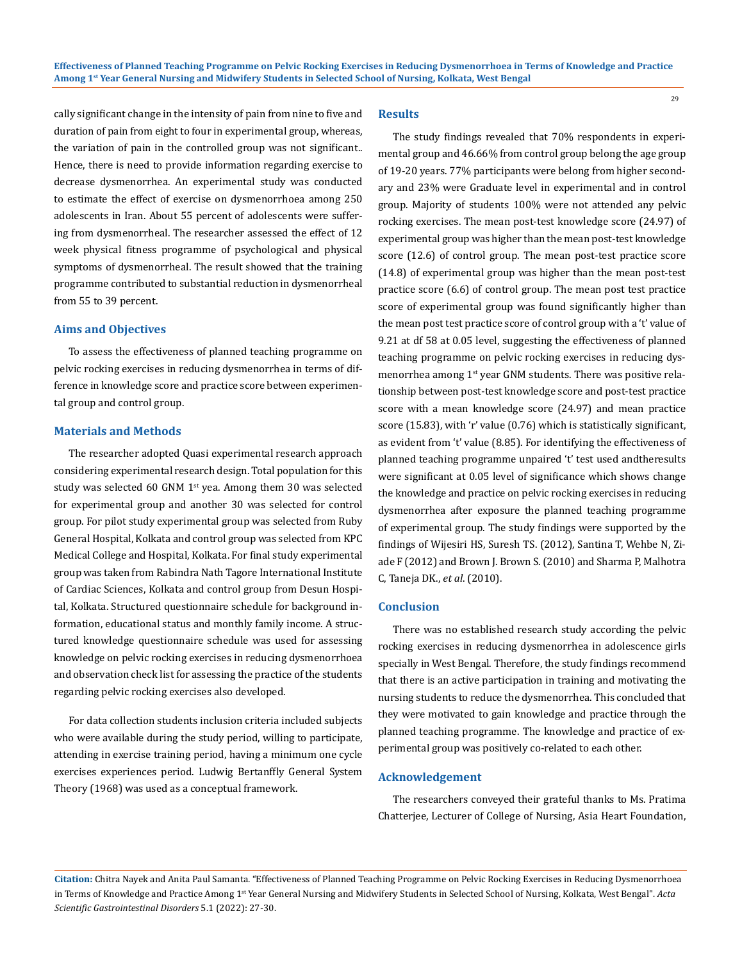cally significant change in the intensity of pain from nine to five and duration of pain from eight to four in experimental group, whereas, the variation of pain in the controlled group was not significant.. Hence, there is need to provide information regarding exercise to decrease dysmenorrhea. An experimental study was conducted to estimate the effect of exercise on dysmenorrhoea among 250 adolescents in Iran. About 55 percent of adolescents were suffering from dysmenorrheal. The researcher assessed the effect of 12 week physical fitness programme of psychological and physical symptoms of dysmenorrheal. The result showed that the training programme contributed to substantial reduction in dysmenorrheal from 55 to 39 percent.

## **Aims and Objectives**

To assess the effectiveness of planned teaching programme on pelvic rocking exercises in reducing dysmenorrhea in terms of difference in knowledge score and practice score between experimental group and control group.

### **Materials and Methods**

The researcher adopted Quasi experimental research approach considering experimental research design. Total population for this study was selected 60 GNM  $1<sup>st</sup>$  yea. Among them 30 was selected for experimental group and another 30 was selected for control group. For pilot study experimental group was selected from Ruby General Hospital, Kolkata and control group was selected from KPC Medical College and Hospital, Kolkata. For final study experimental group was taken from Rabindra Nath Tagore International Institute of Cardiac Sciences, Kolkata and control group from Desun Hospital, Kolkata. Structured questionnaire schedule for background information, educational status and monthly family income. A structured knowledge questionnaire schedule was used for assessing knowledge on pelvic rocking exercises in reducing dysmenorrhoea and observation check list for assessing the practice of the students regarding pelvic rocking exercises also developed.

For data collection students inclusion criteria included subjects who were available during the study period, willing to participate, attending in exercise training period, having a minimum one cycle exercises experiences period. Ludwig Bertanffly General System Theory (1968) was used as a conceptual framework.

# **Results**

The study findings revealed that 70% respondents in experimental group and 46.66% from control group belong the age group of 19-20 years. 77% participants were belong from higher secondary and 23% were Graduate level in experimental and in control group. Majority of students 100% were not attended any pelvic rocking exercises. The mean post-test knowledge score (24.97) of experimental group was higher than the mean post-test knowledge score (12.6) of control group. The mean post-test practice score (14.8) of experimental group was higher than the mean post-test practice score (6.6) of control group. The mean post test practice score of experimental group was found significantly higher than the mean post test practice score of control group with a 't' value of 9.21 at df 58 at 0.05 level, suggesting the effectiveness of planned teaching programme on pelvic rocking exercises in reducing dysmenorrhea among 1<sup>st</sup> year GNM students. There was positive relationship between post-test knowledge score and post-test practice score with a mean knowledge score (24.97) and mean practice score (15.83), with 'r' value (0.76) which is statistically significant, as evident from 't' value (8.85). For identifying the effectiveness of planned teaching programme unpaired 't' test used andtheresults were significant at 0.05 level of significance which shows change the knowledge and practice on pelvic rocking exercises in reducing dysmenorrhea after exposure the planned teaching programme of experimental group. The study findings were supported by the findings of Wijesiri HS, Suresh TS. (2012), Santina T, Wehbe N, Ziade F (2012) and Brown J. Brown S. (2010) and Sharma P, Malhotra C, Taneja DK., *et al*. (2010).

29

## **Conclusion**

There was no established research study according the pelvic rocking exercises in reducing dysmenorrhea in adolescence girls specially in West Bengal. Therefore, the study findings recommend that there is an active participation in training and motivating the nursing students to reduce the dysmenorrhea. This concluded that they were motivated to gain knowledge and practice through the planned teaching programme. The knowledge and practice of experimental group was positively co-related to each other.

## **Acknowledgement**

The researchers conveyed their grateful thanks to Ms. Pratima Chatterjee, Lecturer of College of Nursing, Asia Heart Foundation,

**Citation:** Chitra Nayek and Anita Paul Samanta*.* "Effectiveness of Planned Teaching Programme on Pelvic Rocking Exercises in Reducing Dysmenorrhoea in Terms of Knowledge and Practice Among 1<sup>st</sup> Year General Nursing and Midwifery Students in Selected School of Nursing, Kolkata, West Bengal". Acta *Scientific Gastrointestinal Disorders* 5.1 (2022): 27-30.